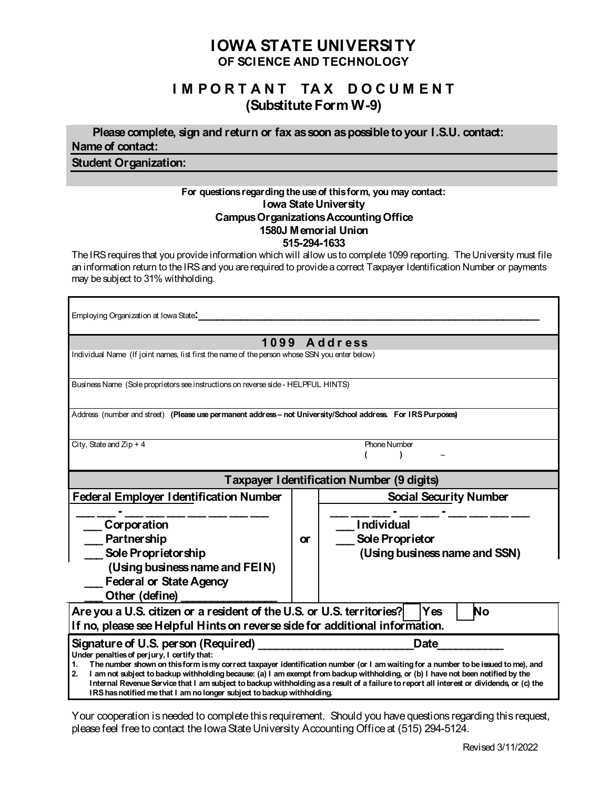# **IOWA STATE UNIVERSITY OF SCIENCE AND TECHNOLOGY**

# **I M P O R T A N T TA X D O C U M E N T (Substitute Form W-9)**

 **Please complete, sign and return or fax as soon as possible to your I.S.U. contact: Name of contact:**

**Student Organization:**

### **For questions regarding the use of this form, you may contact: Iowa State University Campus Organizations AccountingOffice 1580J Memorial Union 515-294-1633**

The IRS requires that you provide information which will allow us to complete 1099 reporting. The University must file an information return to the IRS and you are required to provide a correct Taxpayer Identification Number or payments may be subject to 31% withholding.

| Employing Organization at Iowa State.                                                                                                                                                                                                                                                                                                                        |           |                               |
|--------------------------------------------------------------------------------------------------------------------------------------------------------------------------------------------------------------------------------------------------------------------------------------------------------------------------------------------------------------|-----------|-------------------------------|
| 1099 Address<br>Individual Name (If joint names, list first the name of the person whose SSN you enter below)                                                                                                                                                                                                                                                |           |                               |
| Business Name (Sole proprietors see instructions on reverse side - HELPFUL HINTS)                                                                                                                                                                                                                                                                            |           |                               |
| Address (number and street) (Please use permanent address - not University/School address For IRS Purposes)                                                                                                                                                                                                                                                  |           |                               |
| City, State and $Zip + 4$                                                                                                                                                                                                                                                                                                                                    |           | <b>Phone Number</b>           |
| <b>Taxpayer Identification Number (9 digits)</b>                                                                                                                                                                                                                                                                                                             |           |                               |
| <b>Federal Employer Identification Number</b>                                                                                                                                                                                                                                                                                                                |           | <b>Social Security Number</b> |
| Corporation                                                                                                                                                                                                                                                                                                                                                  |           | <b>Individual</b>             |
| Partnership                                                                                                                                                                                                                                                                                                                                                  | <b>or</b> | Sole Proprietor               |
| Sole Proprietorship                                                                                                                                                                                                                                                                                                                                          |           | (Using business name and SSN) |
| (Using business name and FEIN)                                                                                                                                                                                                                                                                                                                               |           |                               |
| <b>Federal or State Agency</b>                                                                                                                                                                                                                                                                                                                               |           |                               |
| Other (define)                                                                                                                                                                                                                                                                                                                                               |           |                               |
| Are you a U.S. citizen or a resident of the U.S. or U.S. territories?<br>No<br>Yes<br>If no, please see Helpful Hints on reverse side for additional information.                                                                                                                                                                                            |           |                               |
|                                                                                                                                                                                                                                                                                                                                                              |           | <b>Date</b>                   |
| Signature of U.S. person (Required)<br>Under penalties of perjury, I certify that:                                                                                                                                                                                                                                                                           |           |                               |
| The number shown on this form is my correct taxpayer identification number (or I am waiting for a number to be issued to me), and<br>1.                                                                                                                                                                                                                      |           |                               |
| I am not subject to backup withholding because: (a) I am exempt from backup withholding, or (b) I have not been notified by the<br>2.<br>Internal Revenue Service that I am subject to backup withholding as a result of a failure to report all interest or dividends, or (c) the<br>IRS has notified me that I am no longer subject to backup withholding. |           |                               |

Your cooperation is needed to complete this requirement. Should you have questions regarding this request, please feel free to contact the Iowa State University Accounting Office at (515) 294-5124.